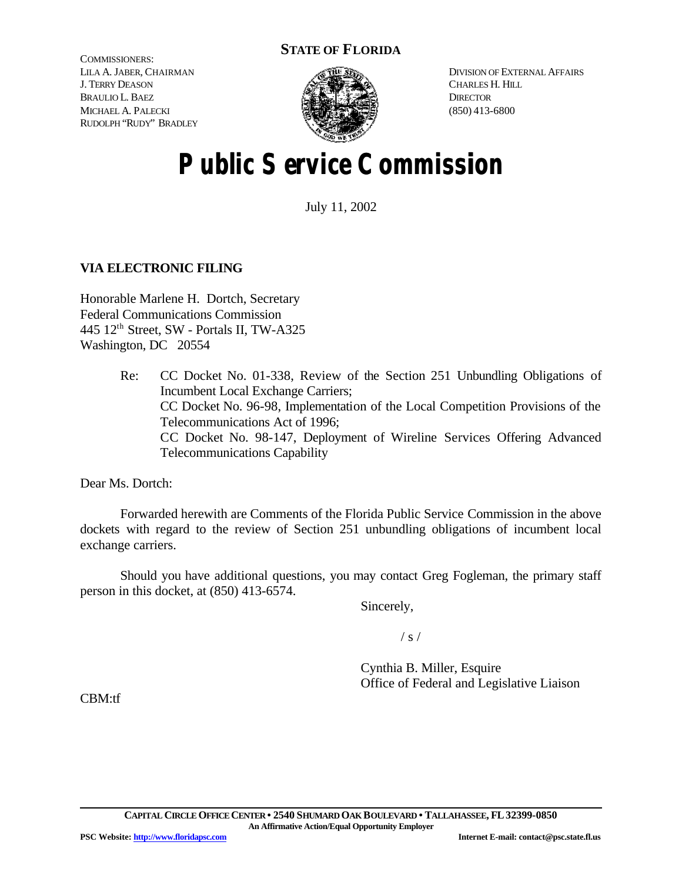# **STATE OF FLORIDA**

COMMISSIONERS: LILA A. JABER, CHAIRMAN J. TERRY DEASON BRAULIO L. BAEZ MICHAEL A. PALECKI RUDOLPH "RUDY" BRADLEY



DIVISION OF EXTERNAL AFFAIRS CHARLES H. HILL **DIRECTOR** (850) 413-6800

# **Public Service Commission**

July 11, 2002

# **VIA ELECTRONIC FILING**

Honorable Marlene H. Dortch, Secretary Federal Communications Commission 445 12th Street, SW - Portals II, TW-A325 Washington, DC 20554

> Re: CC Docket No. 01-338, Review of the Section 251 Unbundling Obligations of Incumbent Local Exchange Carriers; CC Docket No. 96-98, Implementation of the Local Competition Provisions of the Telecommunications Act of 1996; CC Docket No. 98-147, Deployment of Wireline Services Offering Advanced Telecommunications Capability

Dear Ms. Dortch:

Forwarded herewith are Comments of the Florida Public Service Commission in the above dockets with regard to the review of Section 251 unbundling obligations of incumbent local exchange carriers.

Should you have additional questions, you may contact Greg Fogleman, the primary staff person in this docket, at (850) 413-6574.

Sincerely,

 $/ s /$ 

Cynthia B. Miller, Esquire Office of Federal and Legislative Liaison

CBM:tf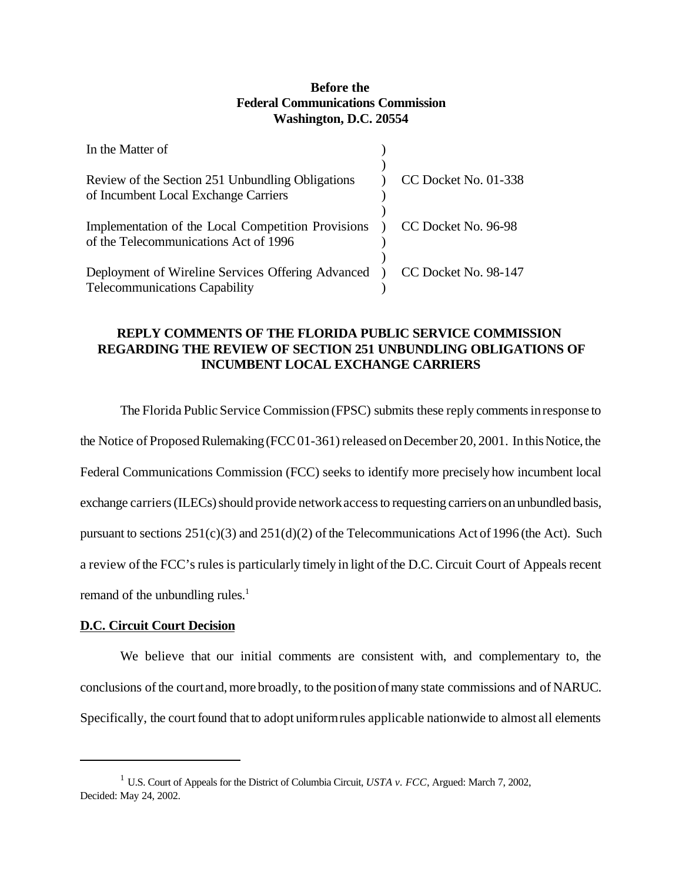## **Before the Federal Communications Commission Washington, D.C. 20554**

| In the Matter of                                                                                                  |                      |
|-------------------------------------------------------------------------------------------------------------------|----------------------|
| Review of the Section 251 Unbundling Obligations                                                                  | CC Docket No. 01-338 |
| of Incumbent Local Exchange Carriers                                                                              |                      |
|                                                                                                                   |                      |
| Implementation of the Local Competition Provisions ) CC Docket No. 96-98<br>of the Telecommunications Act of 1996 |                      |
|                                                                                                                   |                      |
| Deployment of Wireline Services Offering Advanced ) CC Docket No. 98-147<br><b>Telecommunications Capability</b>  |                      |
|                                                                                                                   |                      |

# **REPLY COMMENTS OF THE FLORIDA PUBLIC SERVICE COMMISSION REGARDING THE REVIEW OF SECTION 251 UNBUNDLING OBLIGATIONS OF INCUMBENT LOCAL EXCHANGE CARRIERS**

The Florida Public Service Commission (FPSC) submits these reply comments in response to the Notice of Proposed Rulemaking (FCC01-361) released on December 20, 2001. In this Notice, the Federal Communications Commission (FCC) seeks to identify more precisely how incumbent local exchange carriers (ILECs) should provide network access to requesting carriers on an unbundled basis, pursuant to sections  $251(c)(3)$  and  $251(d)(2)$  of the Telecommunications Act of 1996 (the Act). Such a review of the FCC's rules is particularly timely in light of the D.C. Circuit Court of Appeals recent remand of the unbundling rules.<sup>1</sup>

## **D.C. Circuit Court Decision**

We believe that our initial comments are consistent with, and complementary to, the conclusions ofthe courtand,more broadly, to the positionofmany state commissions and of NARUC. Specifically, the court found that to adopt uniform rules applicable nationwide to almost all elements

<sup>1</sup> U.S. Court of Appeals for the District of Columbia Circuit, *USTA v. FCC*, Argued: March 7, 2002, Decided: May 24, 2002.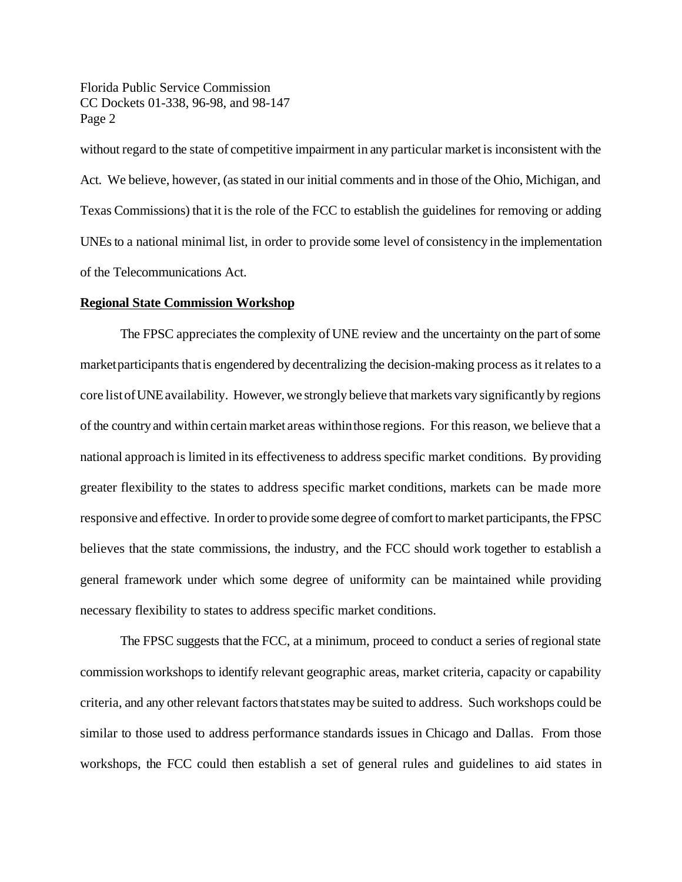Florida Public Service Commission CC Dockets 01-338, 96-98, and 98-147 Page 2

without regard to the state of competitive impairment in any particular marketis inconsistent with the Act. We believe, however, (as stated in our initial comments and in those of the Ohio, Michigan, and Texas Commissions) thatit is the role of the FCC to establish the guidelines for removing or adding UNEs to a national minimal list, in order to provide some level of consistency in the implementation of the Telecommunications Act.

#### **Regional State Commission Workshop**

The FPSC appreciates the complexity of UNE review and the uncertainty on the part of some marketparticipants thatis engendered by decentralizing the decision-making process as it relates to a core listofUNEavailability. However, we strongly believe that markets vary significantly by regions ofthe country and within certainmarket areas withinthose regions. For this reason, we believe that a national approach is limited in its effectiveness to address specific market conditions. By providing greater flexibility to the states to address specific market conditions, markets can be made more responsive and effective. In order to provide some degree of comfort to market participants, the FPSC believes that the state commissions, the industry, and the FCC should work together to establish a general framework under which some degree of uniformity can be maintained while providing necessary flexibility to states to address specific market conditions.

The FPSC suggests that the FCC, at a minimum, proceed to conduct a series of regional state commissionworkshops to identify relevant geographic areas, market criteria, capacity or capability criteria, and any other relevant factors that states may be suited to address. Such workshops could be similar to those used to address performance standards issues in Chicago and Dallas. From those workshops, the FCC could then establish a set of general rules and guidelines to aid states in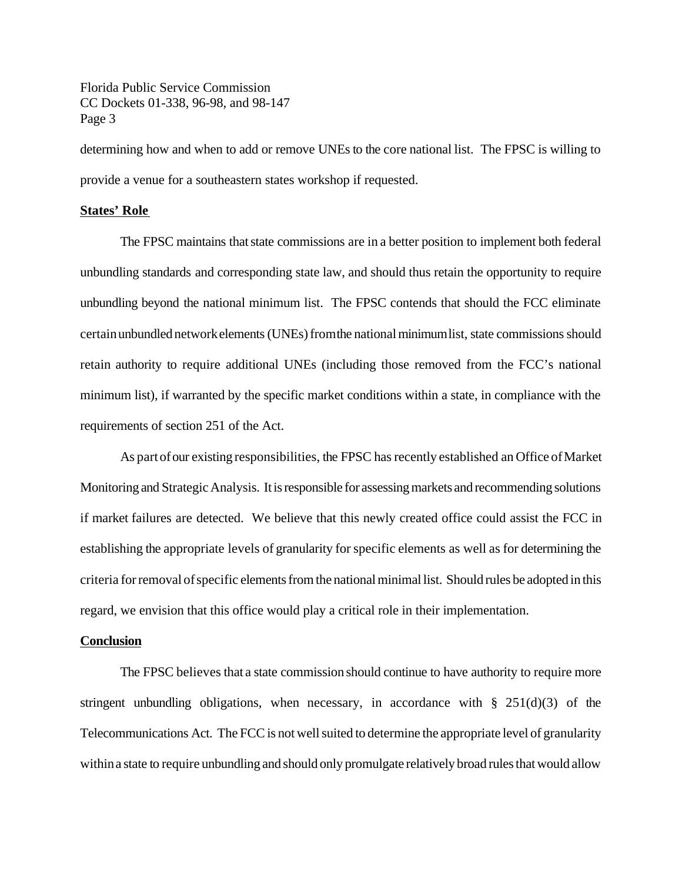Florida Public Service Commission CC Dockets 01-338, 96-98, and 98-147 Page 3

determining how and when to add or remove UNEs to the core national list. The FPSC is willing to provide a venue for a southeastern states workshop if requested.

#### **States' Role**

The FPSC maintains that state commissions are in a better position to implement both federal unbundling standards and corresponding state law, and should thus retain the opportunity to require unbundling beyond the national minimum list. The FPSC contends that should the FCC eliminate certain unbundled network elements (UNEs) from the national minimum list, state commissions should retain authority to require additional UNEs (including those removed from the FCC's national minimum list), if warranted by the specific market conditions within a state, in compliance with the requirements of section 251 of the Act.

As part of our existing responsibilities, the FPSC has recently established an Office of Market Monitoring and StrategicAnalysis. It is responsible for assessing markets and recommending solutions if market failures are detected. We believe that this newly created office could assist the FCC in establishing the appropriate levels of granularity for specific elements as well as for determining the criteria forremoval ofspecific elements from the national minimal list. Should rules be adopted in this regard, we envision that this office would play a critical role in their implementation.

#### **Conclusion**

The FPSC believes that a state commission should continue to have authority to require more stringent unbundling obligations, when necessary, in accordance with  $\S$  251(d)(3) of the Telecommunications Act. The FCC is not well suited to determine the appropriate level of granularity withina state to require unbundling and should only promulgate relatively broad rules that would allow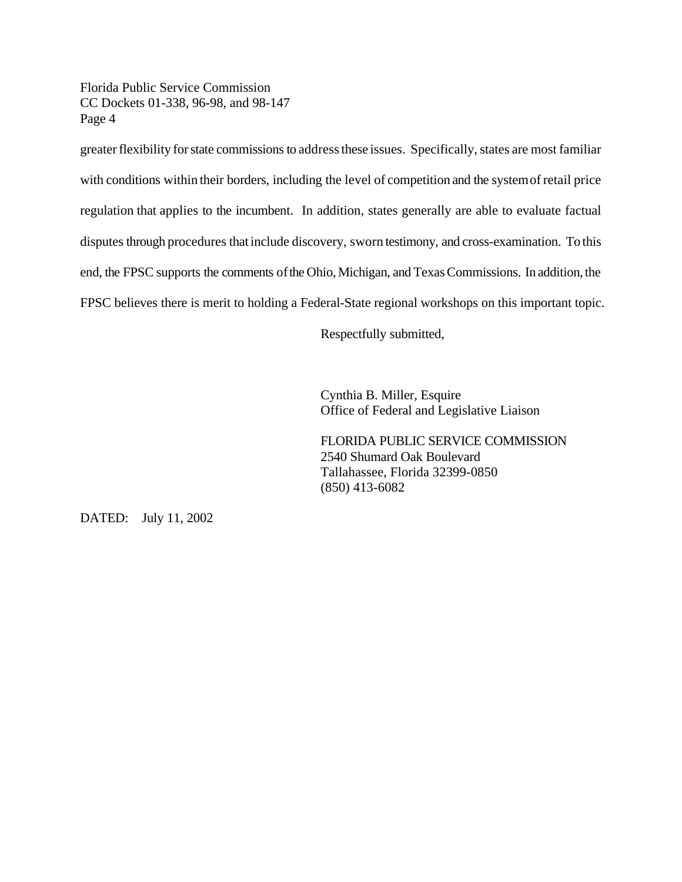Florida Public Service Commission CC Dockets 01-338, 96-98, and 98-147 Page 4

greater flexibility for state commissions to address these issues. Specifically, states are most familiar with conditions within their borders, including the level of competition and the system of retail price regulation that applies to the incumbent. In addition, states generally are able to evaluate factual disputes through procedures thatinclude discovery, sworn testimony, and cross-examination. To this end, the FPSC supports the comments of the Ohio, Michigan, and Texas Commissions. In addition, the FPSC believes there is merit to holding a Federal-State regional workshops on this important topic.

Respectfully submitted,

Cynthia B. Miller, Esquire Office of Federal and Legislative Liaison

FLORIDA PUBLIC SERVICE COMMISSION 2540 Shumard Oak Boulevard Tallahassee, Florida 32399-0850 (850) 413-6082

DATED: July 11, 2002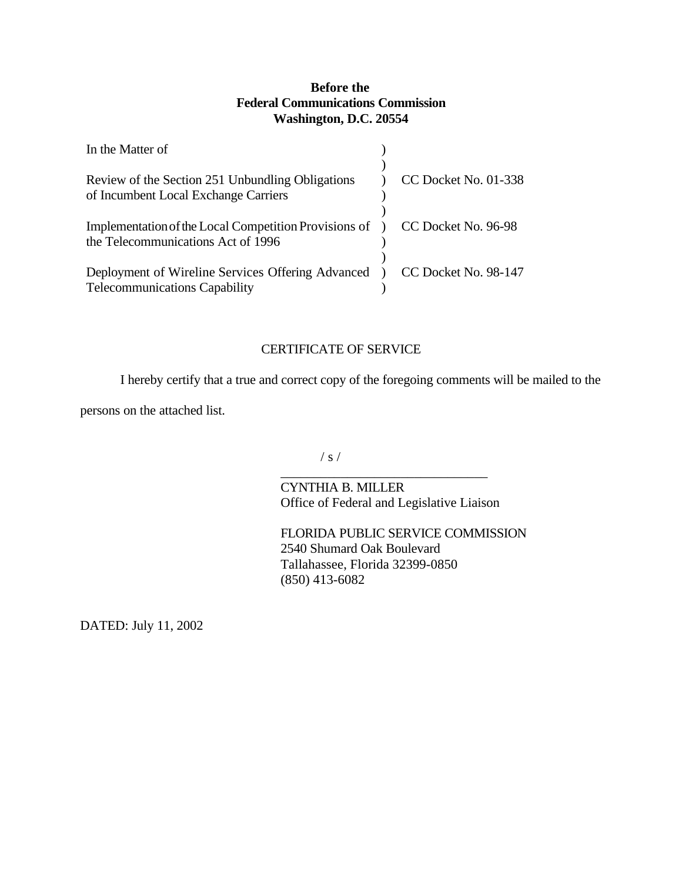# **Before the Federal Communications Commission Washington, D.C. 20554**

| In the Matter of                                                                                                  |                                 |
|-------------------------------------------------------------------------------------------------------------------|---------------------------------|
| Review of the Section 251 Unbundling Obligations<br>of Incumbent Local Exchange Carriers                          | CC Docket No. 01-338            |
| Implementation of the Local Competition Provisions of ) CC Docket No. 96-98<br>the Telecommunications Act of 1996 |                                 |
| Deployment of Wireline Services Offering Advanced<br><b>Telecommunications Capability</b>                         | $\bigcirc$ CC Docket No. 98-147 |

# CERTIFICATE OF SERVICE

I hereby certify that a true and correct copy of the foregoing comments will be mailed to the

persons on the attached list.

 $/ s /$ 

\_\_\_\_\_\_\_\_\_\_\_\_\_\_\_\_\_\_\_\_\_\_\_\_\_\_\_\_\_\_\_ CYNTHIA B. MILLER Office of Federal and Legislative Liaison

FLORIDA PUBLIC SERVICE COMMISSION 2540 Shumard Oak Boulevard Tallahassee, Florida 32399-0850 (850) 413-6082

DATED: July 11, 2002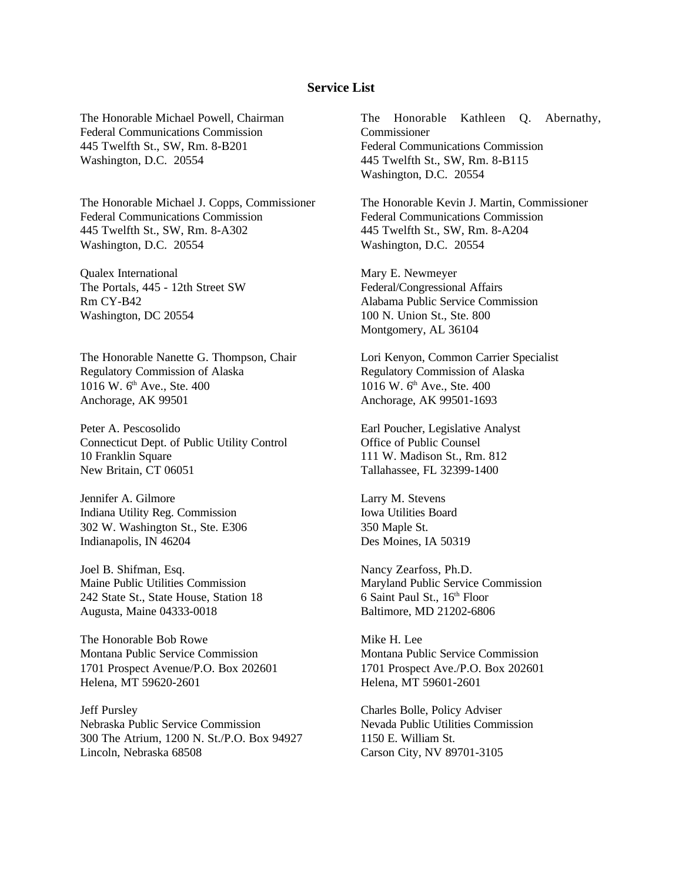### **Service List**

The Honorable Michael Powell, Chairman Federal Communications Commission 445 Twelfth St., SW, Rm. 8-B201 Washington, D.C. 20554

The Honorable Michael J. Copps, Commissioner Federal Communications Commission 445 Twelfth St., SW, Rm. 8-A302 Washington, D.C. 20554

Qualex International The Portals, 445 - 12th Street SW Rm CY-B42 Washington, DC 20554

The Honorable Nanette G. Thompson, Chair Regulatory Commission of Alaska 1016 W. 6<sup>th</sup> Ave., Ste. 400 Anchorage, AK 99501

Peter A. Pescosolido Connecticut Dept. of Public Utility Control 10 Franklin Square New Britain, CT 06051

Jennifer A. Gilmore Indiana Utility Reg. Commission 302 W. Washington St., Ste. E306 Indianapolis, IN 46204

Joel B. Shifman, Esq. Maine Public Utilities Commission 242 State St., State House, Station 18 Augusta, Maine 04333-0018

The Honorable Bob Rowe Montana Public Service Commission 1701 Prospect Avenue/P.O. Box 202601 Helena, MT 59620-2601

Jeff Pursley Nebraska Public Service Commission 300 The Atrium, 1200 N. St./P.O. Box 94927 Lincoln, Nebraska 68508

The Honorable Kathleen Q. Abernathy, **Commissioner** Federal Communications Commission 445 Twelfth St., SW, Rm. 8-B115 Washington, D.C. 20554

The Honorable Kevin J. Martin, Commissioner Federal Communications Commission 445 Twelfth St., SW, Rm. 8-A204 Washington, D.C. 20554

Mary E. Newmeyer Federal/Congressional Affairs Alabama Public Service Commission 100 N. Union St., Ste. 800 Montgomery, AL 36104

Lori Kenyon, Common Carrier Specialist Regulatory Commission of Alaska 1016 W. 6<sup>th</sup> Ave., Ste. 400 Anchorage, AK 99501-1693

Earl Poucher, Legislative Analyst Office of Public Counsel 111 W. Madison St., Rm. 812 Tallahassee, FL 32399-1400

Larry M. Stevens Iowa Utilities Board 350 Maple St. Des Moines, IA 50319

Nancy Zearfoss, Ph.D. Maryland Public Service Commission  $6$  Saint Paul St.,  $16<sup>th</sup>$  Floor Baltimore, MD 21202-6806

Mike H. Lee Montana Public Service Commission 1701 Prospect Ave./P.O. Box 202601 Helena, MT 59601-2601

Charles Bolle, Policy Adviser Nevada Public Utilities Commission 1150 E. William St. Carson City, NV 89701-3105